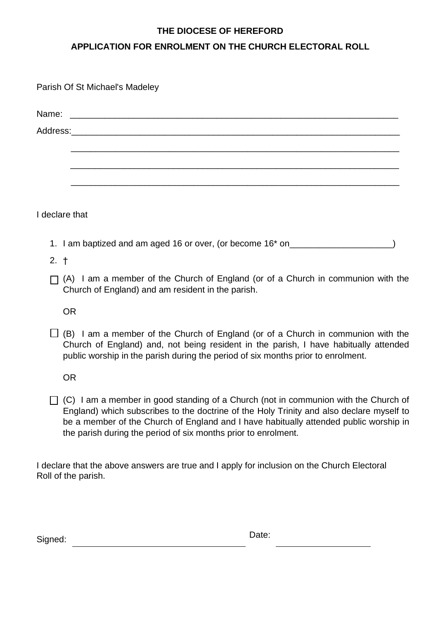## **THE DIOCESE OF HEREFORD**

# **APPLICATION FOR ENROLMENT ON THE CHURCH ELECTORAL ROLL**

|                | Parish Of St Michael's Madeley                                                                                                        |
|----------------|---------------------------------------------------------------------------------------------------------------------------------------|
|                |                                                                                                                                       |
|                |                                                                                                                                       |
|                |                                                                                                                                       |
|                |                                                                                                                                       |
|                |                                                                                                                                       |
|                |                                                                                                                                       |
| I declare that |                                                                                                                                       |
|                | 1. I am baptized and am aged 16 or over, (or become 16* on______________________                                                      |
| 2. †           |                                                                                                                                       |
|                | (A) I am a member of the Church of England (or of a Church in communion with the<br>Church of England) and am resident in the parish. |

OR

 $\Box$  (B) I am a member of the Church of England (or of a Church in communion with the Church of England) and, not being resident in the parish, I have habitually attended public worship in the parish during the period of six months prior to enrolment.

OR

 $\Box$  (C) I am a member in good standing of a Church (not in communion with the Church of England) which subscribes to the doctrine of the Holy Trinity and also declare myself to be a member of the Church of England and I have habitually attended public worship in the parish during the period of six months prior to enrolment.

I declare that the above answers are true and I apply for inclusion on the Church Electoral Roll of the parish.

| Signed: | Date: |
|---------|-------|
|         |       |